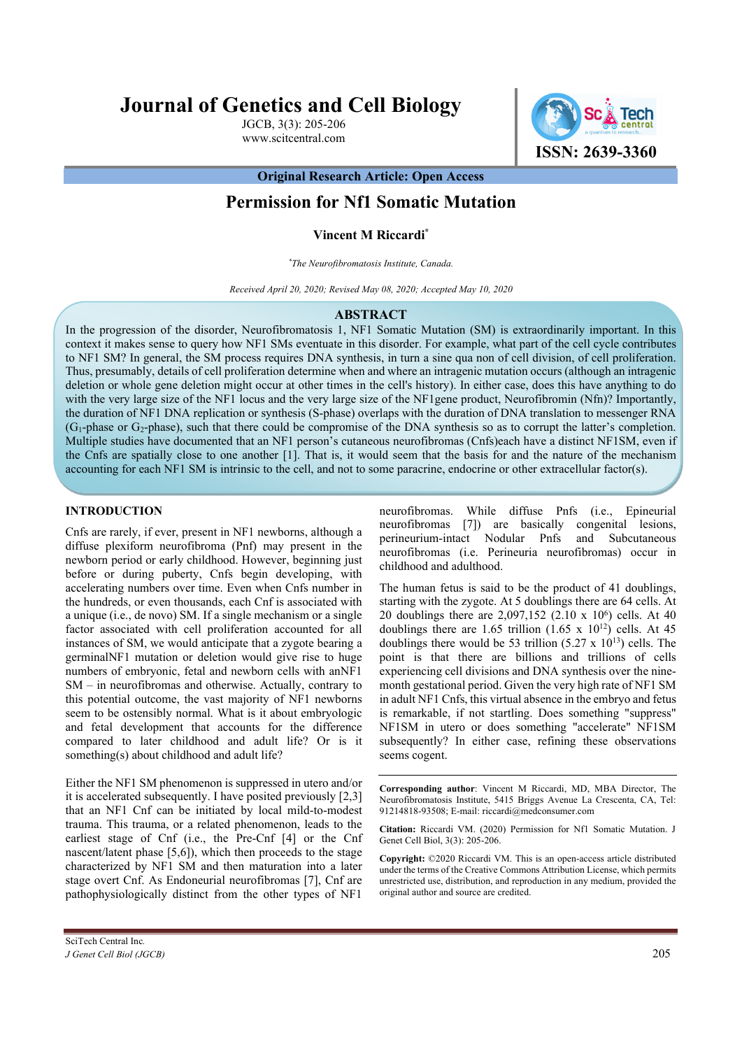# **Journal of Genetics and Cell Biology**

JGCB, 3(3): 205-206 www.scitcentral.com



**Original Research Article: Open Access** 

# **Permission for Nf1 Somatic Mutation**

## **Vincent M Riccardi\***

*\*The Neurofibromatosis Institute, Canada.* 

*Received April 20, 2020; Revised May 08, 2020; Accepted May 10, 2020*

#### **ABSTRACT**

In the progression of the disorder, Neurofibromatosis 1, NF1 Somatic Mutation (SM) is extraordinarily important. In this context it makes sense to query how NF1 SMs eventuate in this disorder. For example, what part of the cell cycle contributes to NF1 SM? In general, the SM process requires DNA synthesis, in turn a sine qua non of cell division, of cell proliferation. Thus, presumably, details of cell proliferation determine when and where an intragenic mutation occurs (although an intragenic deletion or whole gene deletion might occur at other times in the cell's history). In either case, does this have anything to do with the very large size of the NF1 locus and the very large size of the NF1gene product, Neurofibromin (Nfn)? Importantly, the duration of NF1 DNA replication or synthesis (S-phase) overlaps with the duration of DNA translation to messenger RNA  $(G_1$ -phase or  $G_2$ -phase), such that there could be compromise of the DNA synthesis so as to corrupt the latter's completion. Multiple studies have documented that an NF1 person's cutaneous neurofibromas (Cnfs)each have a distinct NF1SM, even if the Cnfs are spatially close to one another [1]. That is, it would seem that the basis for and the nature of the mechanism accounting for each NF1 SM is intrinsic to the cell, and not to some paracrine, endocrine or other extracellular factor(s).

### **INTRODUCTION**

Cnfs are rarely, if ever, present in NF1 newborns, although a diffuse plexiform neurofibroma (Pnf) may present in the newborn period or early childhood. However, beginning just before or during puberty, Cnfs begin developing, with accelerating numbers over time. Even when Cnfs number in the hundreds, or even thousands, each Cnf is associated with a unique (i.e., de novo) SM. If a single mechanism or a single factor associated with cell proliferation accounted for all instances of SM, we would anticipate that a zygote bearing a germinalNF1 mutation or deletion would give rise to huge numbers of embryonic, fetal and newborn cells with anNF1 SM – in neurofibromas and otherwise. Actually, contrary to this potential outcome, the vast majority of NF1 newborns seem to be ostensibly normal. What is it about embryologic and fetal development that accounts for the difference compared to later childhood and adult life? Or is it something(s) about childhood and adult life?

Either the NF1 SM phenomenon is suppressed in utero and/or it is accelerated subsequently. I have posited previously [2,3] that an NF1 Cnf can be initiated by local mild-to-modest trauma. This trauma, or a related phenomenon, leads to the earliest stage of Cnf (i.e., the Pre-Cnf [4] or the Cnf nascent/latent phase [5,6]), which then proceeds to the stage characterized by NF1 SM and then maturation into a later stage overt Cnf. As Endoneurial neurofibromas [7], Cnf are pathophysiologically distinct from the other types of NF1

neurofibromas. While diffuse Pnfs (i.e., Epineurial neurofibromas [7]) are basically congenital lesions, perineurium-intact Nodular Pnfs and Subcutaneous neurofibromas (i.e. Perineuria neurofibromas) occur in childhood and adulthood.

The human fetus is said to be the product of 41 doublings, starting with the zygote. At 5 doublings there are 64 cells. At 20 doublings there are 2,097,152 (2.10 x 10<sup>6</sup>) cells. At 40 doublings there are 1.65 trillion  $(1.65 \times 10^{12})$  cells. At 45 doublings there would be 53 trillion  $(5.27 \times 10^{13})$  cells. The point is that there are billions and trillions of cells experiencing cell divisions and DNA synthesis over the ninemonth gestational period. Given the very high rate of NF1 SM in adult NF1 Cnfs, this virtual absence in the embryo and fetus is remarkable, if not startling. Does something "suppress" NF1SM in utero or does something "accelerate" NF1SM subsequently? In either case, refining these observations seems cogent.

**Corresponding author**: Vincent M Riccardi, MD, MBA Director, The Neurofibromatosis Institute, 5415 Briggs Avenue La Crescenta, CA, Tel: 91214818-93508; E-mail: riccardi@medconsumer.com

**Citation:** Riccardi VM. (2020) Permission for Nf1 Somatic Mutation. J Genet Cell Biol, 3(3): 205-206.

**Copyright:** ©2020 Riccardi VM. This is an open-access article distributed under the terms of the Creative Commons Attribution License, which permits unrestricted use, distribution, and reproduction in any medium, provided the original author and source are credited.